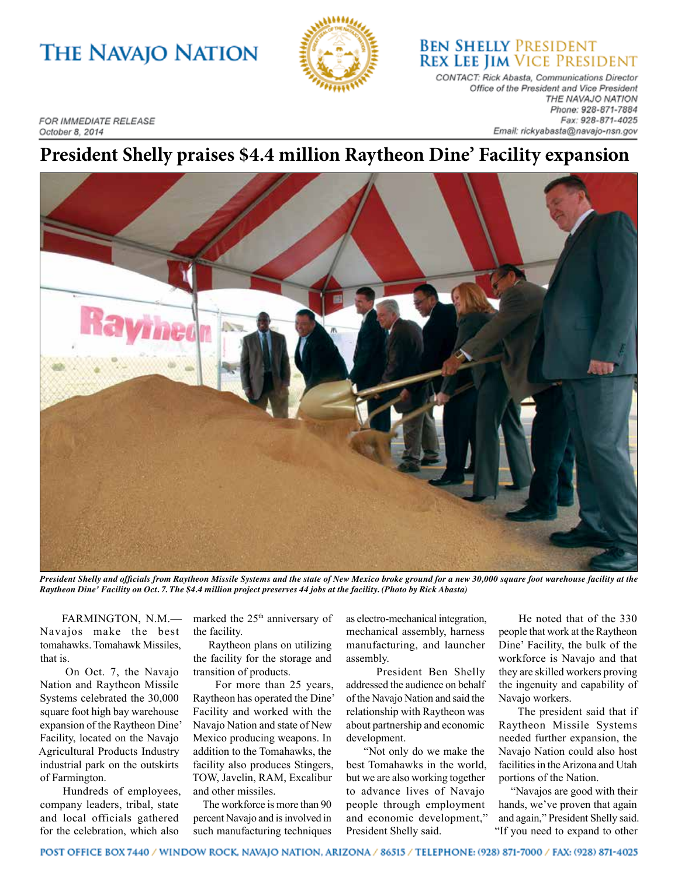## **THE NAVAJO NATION**



**BEN SHELLY PRESIDENT REX LEE JIM VICE PRESIDENT** 

CONTACT: Rick Abasta, Communications Director Office of the President and Vice President THE NAVAJO NATION Phone: 928-871-7884 Fax: 928-871-4025 Email: rickyabasta@navajo-nsn.gov

**FOR IMMEDIATE RELEASE** October 8, 2014

## **President Shelly praises \$4.4 million Raytheon Dine' Facility expansion**



*President Shelly and officials from Raytheon Missile Systems and the state of New Mexico broke ground for a new 30,000 square foot warehouse facility at the Raytheon Dine' Facility on Oct. 7. The \$4.4 million project preserves 44 jobs at the facility. (Photo by Rick Abasta)*

 FARMINGTON, N.M.— Navajos make the best tomahawks. Tomahawk Missiles, that is.

 On Oct. 7, the Navajo Nation and Raytheon Missile Systems celebrated the 30,000 square foot high bay warehouse expansion of the Raytheon Dine' Facility, located on the Navajo Agricultural Products Industry industrial park on the outskirts of Farmington.

 Hundreds of employees, company leaders, tribal, state and local officials gathered for the celebration, which also

marked the 25<sup>th</sup> anniversary of the facility.

 Raytheon plans on utilizing the facility for the storage and transition of products.

 For more than 25 years, Raytheon has operated the Dine' Facility and worked with the Navajo Nation and state of New Mexico producing weapons. In addition to the Tomahawks, the facility also produces Stingers, TOW, Javelin, RAM, Excalibur and other missiles.

 The workforce is more than 90 percent Navajo and is involved in such manufacturing techniques as electro-mechanical integration, mechanical assembly, harness manufacturing, and launcher assembly.

 President Ben Shelly addressed the audience on behalf of the Navajo Nation and said the relationship with Raytheon was about partnership and economic development.

 "Not only do we make the best Tomahawks in the world, but we are also working together to advance lives of Navajo people through employment and economic development," President Shelly said.

 He noted that of the 330 people that work at the Raytheon Dine' Facility, the bulk of the workforce is Navajo and that they are skilled workers proving the ingenuity and capability of Navajo workers.

 The president said that if Raytheon Missile Systems needed further expansion, the Navajo Nation could also host facilities in the Arizona and Utah portions of the Nation.

 "Navajos are good with their hands, we've proven that again and again," President Shelly said. "If you need to expand to other